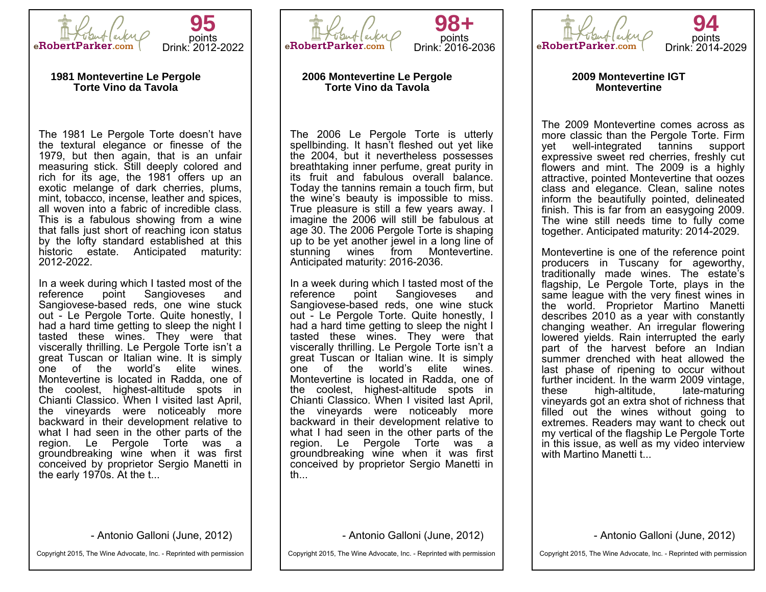



#### **1981 Montevertine Le Pergole Torte Vino da Tavola**

The 1981 Le Pergole Torte doesn't have the textural elegance or finesse of the 1979, but then again, that is an unfair measuring stick. Still deeply colored and rich for its age, the 1981 offers up an exotic melange of dark cherries, plums, mint, tobacco, incense, leather and spices, all woven into a fabric of incredible class. This is a fabulous showing from a wine that falls just short of reaching icon status by the lofty standard established at this historic estate. Anticipated maturity: 2012-2022.

In a week during which I tasted most of the reference point Sangioveses and Sangioveses and Sangiovese-based reds, one wine stuck out - Le Pergole Torte. Quite honestly, I had a hard time getting to sleep the night I tasted these wines. They were that viscerally thrilling. Le Pergole Torte isn't a great Tuscan or Italian wine. It is simply one of the world's elite wines. Montevertine is located in Radda, one of the coolest, highest-altitude spots in Chianti Classico. When I visited last April, the vineyards were noticeably more backward in their development relative to what I had seen in the other parts of the region. Le Pergole Torte was a groundbreaking wine when it was first conceived by proprietor Sergio Manetti in the early 1970s. At the t...

- Antonio Galloni (June, 2012)

Copyright 2015, The Wine Advocate, Inc. - Reprinted with permission



# **98+** points Drink: 2016-2036

#### **2006 Montevertine Le Pergole Torte Vino da Tavola**

The 2006 Le Pergole Torte is utterly spellbinding. It hasn't fleshed out yet like the 2004, but it nevertheless possesses breathtaking inner perfume, great purity in its fruit and fabulous overall balance. Today the tannins remain a touch firm, but the wine's beauty is impossible to miss. True pleasure is still a few years away. I imagine the 2006 will still be fabulous at age 30. The 2006 Pergole Torte is shaping up to be yet another jewel in a long line of stunning wines from Montevertine. Anticipated maturity: 2016-2036.

In a week during which I tasted most of the reference point Sangioveses and Sangioveses and Sangiovese-based reds, one wine stuck out - Le Pergole Torte. Quite honestly, I had a hard time getting to sleep the night I tasted these wines. They were that viscerally thrilling. Le Pergole Torte isn't a great Tuscan or Italian wine. It is simply one of the world's elite wines. Montevertine is located in Radda, one of the coolest, highest-altitude spots in Chianti Classico. When I visited last April, the vineyards were noticeably more backward in their development relative to what I had seen in the other parts of the region. Le Pergole Torte was a groundbreaking wine when it was first conceived by proprietor Sergio Manetti in th...

- Antonio Galloni (June, 2012)

Copyright 2015, The Wine Advocate, Inc. - Reprinted with permission



**2009 Montevertine IGT Montevertine**

The 2009 Montevertine comes across as more classic than the Pergole Torte. Firm yet well-integrated tannins support expressive sweet red cherries, freshly cut flowers and mint. The 2009 is a highly attractive, pointed Montevertine that oozes class and elegance. Clean, saline notes inform the beautifully pointed, delineated finish. This is far from an easygoing 2009. The wine still needs time to fully come together. Anticipated maturity: 2014-2029.

Montevertine is one of the reference point producers in Tuscany for ageworthy, traditionally made wines. The estate's flagship, Le Pergole Torte, plays in the same league with the very finest wines in the world. Proprietor Martino Manetti describes 2010 as a year with constantly changing weather. An irregular flowering lowered yields. Rain interrupted the early part of the harvest before an Indian summer drenched with heat allowed the last phase of ripening to occur without further incident. In the warm 2009 vintage,<br>these high-altitude. late-maturing these high-altitude. vineyards got an extra shot of richness that filled out the wines without going to extremes. Readers may want to check out my vertical of the flagship Le Pergole Torte in this issue, as well as my video interview with Martino Manetti t...

- Antonio Galloni (June, 2012)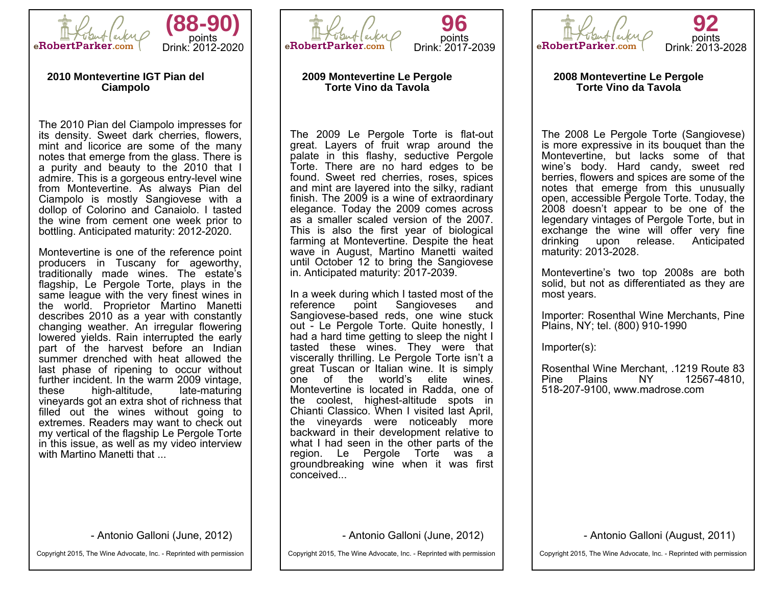



#### **2010 Montevertine IGT Pian del Ciampolo**

The 2010 Pian del Ciampolo impresses for its density. Sweet dark cherries, flowers, mint and licorice are some of the many notes that emerge from the glass. There is a purity and beauty to the 2010 that I admire. This is a gorgeous entry-level wine from Montevertine. As always Pian del Ciampolo is mostly Sangiovese with a dollop of Colorino and Canaiolo. I tasted the wine from cement one week prior to bottling. Anticipated maturity: 2012-2020.

Montevertine is one of the reference point producers in Tuscany for ageworthy, traditionally made wines. The estate's flagship, Le Pergole Torte, plays in the same league with the very finest wines in the world. Proprietor Martino Manetti describes 2010 as a year with constantly changing weather. An irregular flowering lowered yields. Rain interrupted the early part of the harvest before an Indian summer drenched with heat allowed the last phase of ripening to occur without further incident. In the warm 2009 vintage,<br>these high-altitude. late-maturing high-altitude, vineyards got an extra shot of richness that filled out the wines without going to extremes. Readers may want to check out my vertical of the flagship Le Pergole Torte in this issue, as well as my video interview with Martino Manetti that ...

- Antonio Galloni (June, 2012)

Copyright 2015, The Wine Advocate, Inc. - Reprinted with permission



### **2009 Montevertine Le Pergole Torte Vino da Tavola**

The 2009 Le Pergole Torte is flat-out great. Layers of fruit wrap around the palate in this flashy, seductive Pergole Torte. There are no hard edges to be found. Sweet red cherries, roses, spices and mint are layered into the silky, radiant finish. The 2009 is a wine of extraordinary elegance. Today the 2009 comes across as a smaller scaled version of the 2007. This is also the first year of biological farming at Montevertine. Despite the heat wave in August, Martino Manetti waited until October 12 to bring the Sangiovese in. Anticipated maturity: 2017-2039.

In a week during which I tasted most of the reference point Sangioveses and reference point Sangioveses and Sangiovese-based reds, one wine stuck out - Le Pergole Torte. Quite honestly, I had a hard time getting to sleep the night I tasted these wines. They were that viscerally thrilling. Le Pergole Torte isn't a great Tuscan or Italian wine. It is simply one of the world's elite wines. Montevertine is located in Radda, one of the coolest, highest-altitude spots in Chianti Classico. When I visited last April, the vineyards were noticeably more backward in their development relative to what I had seen in the other parts of the region. Le Pergole Torte was a groundbreaking wine when it was first conceived...

- Antonio Galloni (June, 2012)

Copyright 2015, The Wine Advocate, Inc. - Reprinted with permission



**2008 Montevertine Le Pergole Torte Vino da Tavola**

The 2008 Le Pergole Torte (Sangiovese) is more expressive in its bouquet than the Montevertine, but lacks some of that wine's body. Hard candy, sweet red berries, flowers and spices are some of the notes that emerge from this unusually open, accessible Pergole Torte. Today, the 2008 doesn't appear to be one of the legendary vintages of Pergole Torte, but in exchange the wine will offer very fine drinking upon release. Anticipated maturity: 2013-2028.

Montevertine's two top 2008s are both solid, but not as differentiated as they are most years.

Importer: Rosenthal Wine Merchants, Pine Plains, NY; tel. (800) 910-1990

Importer(s):

Rosenthal Wine Merchant, .1219 Route 83 Pine Plains 518-207-9100, www.madrose.com

- Antonio Galloni (August, 2011)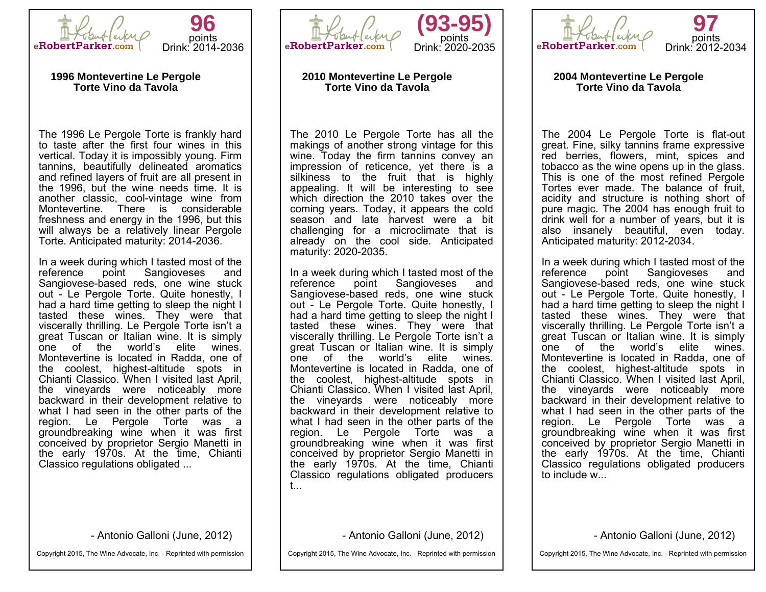



#### **1996 Montevertine Le Pergole Torte Vino da Tavola**

The 1996 Le Pergole Torte is frankly hard to taste after the first four wines in this vertical. Today it is impossibly young. Firm tannins, beautifully delineated aromatics and refined layers of fruit are all present in the 1996, but the wine needs time. It is another classic, cool-vintage wine from Montevertine. There is considerable freshness and energy in the 1996, but this will always be a relatively linear Pergole Torte. Anticipated maturity: 2014-2036.

In a week during which I tasted most of the reference point Sangioveses and Sangiovese-based reds, one wine stuck out - Le Pergole Torte. Quite honestly, I had a hard time getting to sleep the night I tasted these wines. They were that viscerally thrilling. Le Pergole Torte isn't a great Tuscan or Italian wine. It is simply one of the world's elite wines. Montevertine is located in Radda, one of the coolest, highest-altitude spots in Chianti Classico. When I visited last April, the vineyards were noticeably more backward in their development relative to what I had seen in the other parts of the region. Le Pergole Torte was a groundbreaking wine when it was first conceived by proprietor Sergio Manetti in the early 1970s. At the time, Chianti Classico regulations obligated ...

- Antonio Galloni (June, 2012)

Copyright 2015, The Wine Advocate, Inc. - Reprinted with permission



## **2010 Montevertine Le Pergole Torte Vino da Tavola**

The 2010 Le Pergole Torte has all the makings of another strong vintage for this wine. Today the firm tannins convey an impression of reticence, yet there is a silkiness to the fruit that is highly appealing. It will be interesting to see which direction the 2010 takes over the coming years. Today, it appears the cold season and late harvest were a bit challenging for a microclimate that is already on the cool side. Anticipated maturity: 2020-2035.

In a week during which I tasted most of the reference point Sangioveses and Sangioveses Sangiovese-based reds, one wine stuck out - Le Pergole Torte. Quite honestly, I had a hard time getting to sleep the night I tasted these wines. They were that viscerally thrilling. Le Pergole Torte isn't a great Tuscan or Italian wine. It is simply one of the world's elite wines. Montevertine is located in Radda, one of the coolest, highest-altitude spots in Chianti Classico. When I visited last April, the vineyards were noticeably more backward in their development relative to what I had seen in the other parts of the region. Le Pergole Torte was a groundbreaking wine when it was first conceived by proprietor Sergio Manetti in the early 1970s. At the time, Chianti Classico regulations obligated producers t...

- Antonio Galloni (June, 2012)

Copyright 2015, The Wine Advocate, Inc. - Reprinted with permission



#### **2004 Montevertine Le Pergole Torte Vino da Tavola**

The 2004 Le Pergole Torte is flat-out great. Fine, silky tannins frame expressive red berries, flowers, mint, spices and tobacco as the wine opens up in the glass. This is one of the most refined Pergole Tortes ever made. The balance of fruit, acidity and structure is nothing short of pure magic. The 2004 has enough fruit to drink well for a number of years, but it is also insanely beautiful, even today. Anticipated maturity: 2012-2034.

In a week during which I tasted most of the reference point Sangioveses and Sangiovese-based reds, one wine stuck out - Le Pergole Torte. Quite honestly, I had a hard time getting to sleep the night I tasted these wines. They were that viscerally thrilling. Le Pergole Torte isn't a great Tuscan or Italian wine. It is simply one of the world's elite wines. Montevertine is located in Radda, one of the coolest, highest-altitude spots in Chianti Classico. When I visited last April, the vineyards were noticeably more backward in their development relative to what I had seen in the other parts of the region. Le Pergole Torte was a groundbreaking wine when it was first conceived by proprietor Sergio Manetti in the early 1970s. At the time, Chianti Classico regulations obligated producers to include w...

- Antonio Galloni (June, 2012)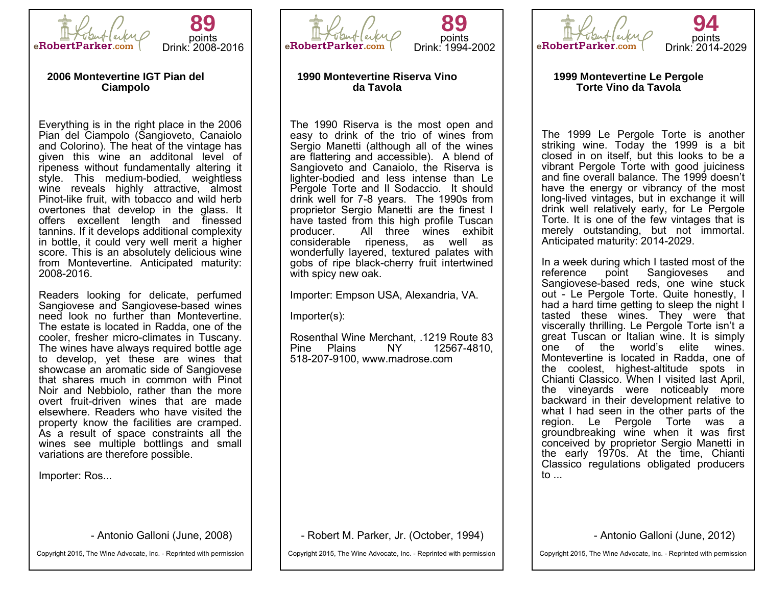

**89** points Drink: 2008-2016

#### **2006 Montevertine IGT Pian del Ciampolo**

Everything is in the right place in the 2006 Pian del Ciampolo (Sangioveto, Canaiolo and Colorino). The heat of the vintage has given this wine an additonal level of ripeness without fundamentally altering it style. This medium-bodied, weightless wine reveals highly attractive, almost Pinot-like fruit, with tobacco and wild herb overtones that develop in the glass. It offers excellent length and finessed tannins. If it develops additional complexity in bottle, it could very well merit a higher score. This is an absolutely delicious wine from Montevertine. Anticipated maturity: 2008-2016.

Readers looking for delicate, perfumed Sangiovese and Sangiovese-based wines need look no further than Montevertine. The estate is located in Radda, one of the cooler, fresher micro-climates in Tuscany. The wines have always required bottle age to develop, yet these are wines that showcase an aromatic side of Sangiovese that shares much in common with Pinot Noir and Nebbiolo, rather than the more overt fruit-driven wines that are made elsewhere. Readers who have visited the property know the facilities are cramped. As a result of space constraints all the wines see multiple bottlings and small variations are therefore possible.

Importer: Ros...

- Antonio Galloni (June, 2008)

Copyright 2015, The Wine Advocate, Inc. - Reprinted with permission



# **89** points Drink: 1994-2002

## **1990 Montevertine Riserva Vino da Tavola**

The 1990 Riserva is the most open and easy to drink of the trio of wines from Sergio Manetti (although all of the wines are flattering and accessible). A blend of Sangioveto and Canaiolo, the Riserva is lighter-bodied and less intense than Le Pergole Torte and Il Sodaccio. It should drink well for 7-8 years. The 1990s from proprietor Sergio Manetti are the finest I have tasted from this high profile Tuscan producer. All three wines exhibit considerable ripeness, wonderfully layered, textured palates with gobs of ripe black-cherry fruit intertwined with spicy new oak.

Importer: Empson USA, Alexandria, VA.

Importer(s):

Rosenthal Wine Merchant, .1219 Route 83 12567-4810. 518-207-9100, www.madrose.com

- Robert M. Parker, Jr. (October, 1994)

Copyright 2015, The Wine Advocate, Inc. - Reprinted with permission



**1999 Montevertine Le Pergole Torte Vino da Tavola**

The 1999 Le Pergole Torte is another striking wine. Today the 1999 is a bit closed in on itself, but this looks to be a vibrant Pergole Torte with good juiciness and fine overall balance. The 1999 doesn't have the energy or vibrancy of the most long-lived vintages, but in exchange it will drink well relatively early, for Le Pergole Torte. It is one of the few vintages that is merely outstanding, but not immortal. Anticipated maturity: 2014-2029.

In a week during which I tasted most of the reference point Sangioveses and Sangiovese-based reds, one wine stuck out - Le Pergole Torte. Quite honestly, I had a hard time getting to sleep the night I tasted these wines. They were that viscerally thrilling. Le Pergole Torte isn't a great Tuscan or Italian wine. It is simply one of the world's elite wines. Montevertine is located in Radda, one of the coolest, highest-altitude spots in Chianti Classico. When I visited last April, the vineyards were noticeably more backward in their development relative to what I had seen in the other parts of the region. Le Pergole Torte was a groundbreaking wine when it was first conceived by proprietor Sergio Manetti in the early 1970s. At the time, Chianti Classico regulations obligated producers to  $\ldots$ 

- Antonio Galloni (June, 2012)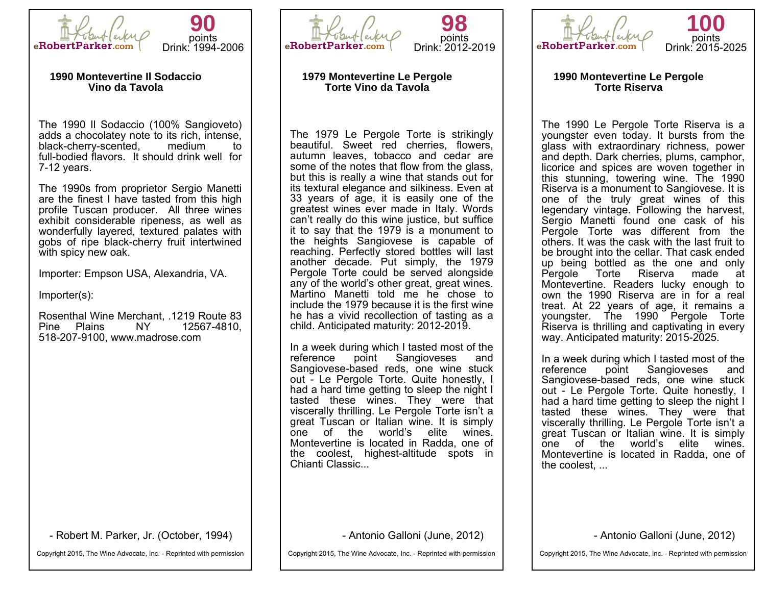



#### **1990 Montevertine Il Sodaccio Vino da Tavola**

The 1990 Il Sodaccio (100% Sangioveto) adds a chocolatey note to its rich, intense,<br>black-cherry-scented. medium to black-cherry-scented, medium to full-bodied flavors. It should drink well for 7-12 years.

The 1990s from proprietor Sergio Manetti are the finest I have tasted from this high profile Tuscan producer. All three wines exhibit considerable ripeness, as well as wonderfully layered, textured palates with gobs of ripe black-cherry fruit intertwined with spicy new oak.

Importer: Empson USA, Alexandria, VA.

Importer(s):

Rosenthal Wine Merchant, .1219 Route 83 Pine Plains 518-207-9100, www.madrose.com

- Robert M. Parker, Jr. (October, 1994)

Copyright 2015, The Wine Advocate, Inc. - Reprinted with permission



# **98** points Drink: 2012-2019

## **1979 Montevertine Le Pergole Torte Vino da Tavola**

The 1979 Le Pergole Torte is strikingly beautiful. Sweet red cherries, flowers, autumn leaves, tobacco and cedar are some of the notes that flow from the glass, but this is really a wine that stands out for its textural elegance and silkiness. Even at 33 years of age, it is easily one of the greatest wines ever made in Italy. Words can't really do this wine justice, but suffice it to say that the 1979 is a monument to the heights Sangiovese is capable of reaching. Perfectly stored bottles will last another decade. Put simply, the 1979 Pergole Torte could be served alongside any of the world's other great, great wines. Martino Manetti told me he chose to include the 1979 because it is the first wine he has a vivid recollection of tasting as a child. Anticipated maturity: 2012-2019.

In a week during which I tasted most of the reference point Sangioveses and Sangioveses Sangiovese-based reds, one wine stuck out - Le Pergole Torte. Quite honestly, I had a hard time getting to sleep the night I tasted these wines. They were that viscerally thrilling. Le Pergole Torte isn't a great Tuscan or Italian wine. It is simply one of the world's elite wines. Montevertine is located in Radda, one of the coolest, highest-altitude spots in Chianti Classic...

- Antonio Galloni (June, 2012)

Copyright 2015, The Wine Advocate, Inc. - Reprinted with permission



**1990 Montevertine Le Pergole Torte Riserva**

The 1990 Le Pergole Torte Riserva is a youngster even today. It bursts from the glass with extraordinary richness, power and depth. Dark cherries, plums, camphor, licorice and spices are woven together in this stunning, towering wine. The 1990 Riserva is a monument to Sangiovese. It is one of the truly great wines of this legendary vintage. Following the harvest, Sergio Manetti found one cask of his Pergole Torte was different from the others. It was the cask with the last fruit to be brought into the cellar. That cask ended up being bottled as the one and only<br>Pergole Torte Riserva made at Pergole Torte Riserva made at Montevertine. Readers lucky enough to own the 1990 Riserva are in for a real treat. At 22 years of age, it remains a youngster. The 1990 Pergole Torte Riserva is thrilling and captivating in every way. Anticipated maturity: 2015-2025.

In a week during which I tasted most of the reference point Sangioveses and Sangiovese-based reds, one wine stuck out - Le Pergole Torte. Quite honestly, I had a hard time getting to sleep the night I tasted these wines. They were that viscerally thrilling. Le Pergole Torte isn't a great Tuscan or Italian wine. It is simply one of the world's elite wines. Montevertine is located in Radda, one of the coolest, ...

- Antonio Galloni (June, 2012)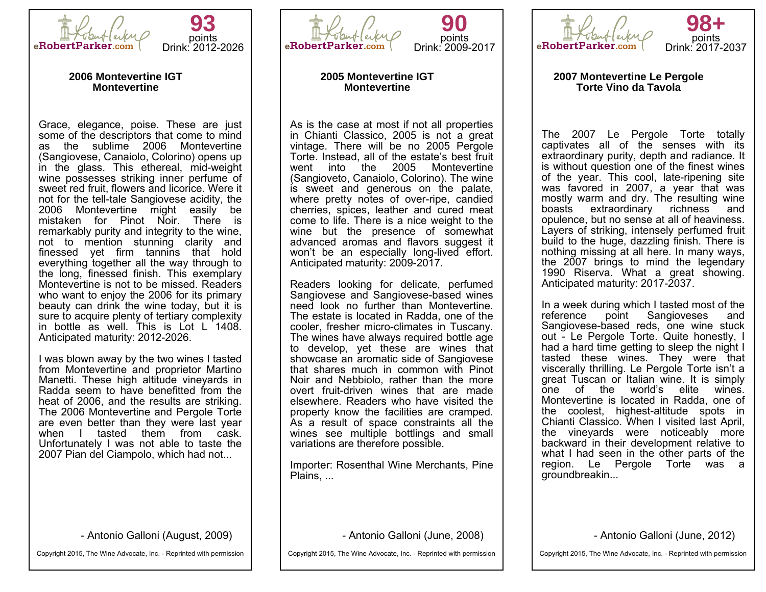

**93** points Drink: 2012-2026

#### **2006 Montevertine IGT Montevertine**

Grace, elegance, poise. These are just some of the descriptors that come to mind as the sublime 2006 Montevertine (Sangiovese, Canaiolo, Colorino) opens up in the glass. This ethereal, mid-weight wine possesses striking inner perfume of sweet red fruit, flowers and licorice. Were it not for the tell-tale Sangiovese acidity, the 2006 Montevertine might easily be mistaken for Pinot Noir. There is remarkably purity and integrity to the wine, not to mention stunning clarity and finessed yet firm tannins that hold everything together all the way through to the long, finessed finish. This exemplary Montevertine is not to be missed. Readers who want to enjoy the 2006 for its primary beauty can drink the wine today, but it is sure to acquire plenty of tertiary complexity in bottle as well. This is Lot L 1408. Anticipated maturity: 2012-2026.

I was blown away by the two wines I tasted from Montevertine and proprietor Martino Manetti. These high altitude vineyards in Radda seem to have benefitted from the heat of 2006, and the results are striking. The 2006 Montevertine and Pergole Torte are even better than they were last year when I tasted them from cask. Unfortunately I was not able to taste the 2007 Pian del Ciampolo, which had not...

- Antonio Galloni (August, 2009)

Copyright 2015, The Wine Advocate, Inc. - Reprinted with permission



**90** points Drink: 2009-2017

#### **2005 Montevertine IGT Montevertine**

As is the case at most if not all properties in Chianti Classico, 2005 is not a great vintage. There will be no 2005 Pergole Torte. Instead, all of the estate's best fruit went into the 2005 Montevertine (Sangioveto, Canaiolo, Colorino). The wine is sweet and generous on the palate, where pretty notes of over-ripe, candied cherries, spices, leather and cured meat come to life. There is a nice weight to the wine but the presence of somewhat advanced aromas and flavors suggest it won't be an especially long-lived effort. Anticipated maturity: 2009-2017.

Readers looking for delicate, perfumed Sangiovese and Sangiovese-based wines need look no further than Montevertine. The estate is located in Radda, one of the cooler, fresher micro-climates in Tuscany. The wines have always required bottle age to develop, yet these are wines that showcase an aromatic side of Sangiovese that shares much in common with Pinot Noir and Nebbiolo, rather than the more overt fruit-driven wines that are made elsewhere. Readers who have visited the property know the facilities are cramped. As a result of space constraints all the wines see multiple bottlings and small variations are therefore possible.

Importer: Rosenthal Wine Merchants, Pine Plains, ...

- Antonio Galloni (June, 2008)

Copyright 2015, The Wine Advocate, Inc. - Reprinted with permission



#### **2007 Montevertine Le Pergole Torte Vino da Tavola**

The 2007 Le Pergole Torte totally captivates all of the senses with its extraordinary purity, depth and radiance. It is without question one of the finest wines of the year. This cool, late-ripening site was favored in 2007, a year that was mostly warm and dry. The resulting wine boasts extraordinary richness and opulence, but no sense at all of heaviness. Layers of striking, intensely perfumed fruit build to the huge, dazzling finish. There is nothing missing at all here. In many ways, the 2007 brings to mind the legendary 1990 Riserva. What a great showing. Anticipated maturity: 2017-2037.

In a week during which I tasted most of the reference point Sangioveses and point Sangioveses Sangiovese-based reds, one wine stuck out - Le Pergole Torte. Quite honestly, I had a hard time getting to sleep the night I tasted these wines. They were that viscerally thrilling. Le Pergole Torte isn't a great Tuscan or Italian wine. It is simply one of the world's elite wines. Montevertine is located in Radda, one of the coolest, highest-altitude spots in Chianti Classico. When I visited last April, the vineyards were noticeably more backward in their development relative to what I had seen in the other parts of the region. Le Pergole Torte was a groundbreakin...

- Antonio Galloni (June, 2012)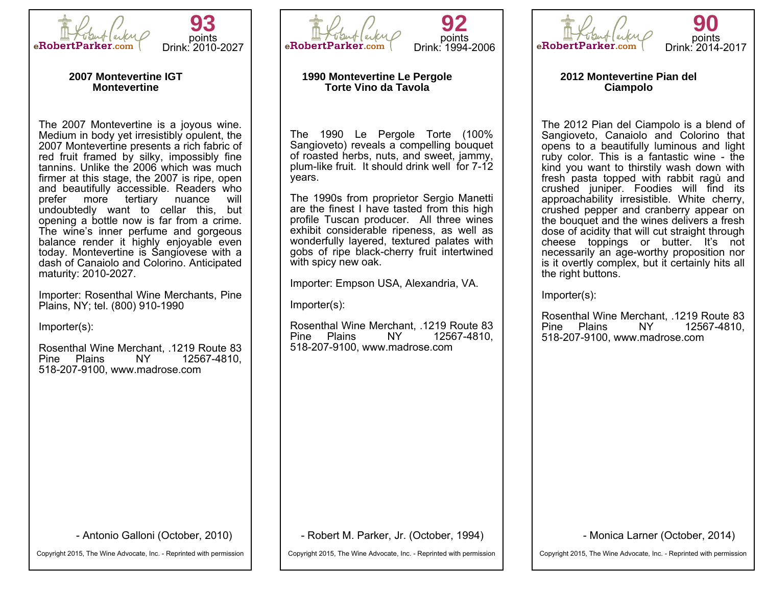



#### **2007 Montevertine IGT Montevertine**

The 2007 Montevertine is a joyous wine. Medium in body yet irresistibly opulent, the 2007 Montevertine presents a rich fabric of red fruit framed by silky, impossibly fine tannins. Unlike the 2006 which was much firmer at this stage, the 2007 is ripe, open and beautifully accessible. Readers who prefer more tertiary nuance undoubtedly want to cellar this, but opening a bottle now is far from a crime. The wine's inner perfume and gorgeous balance render it highly enjoyable even today. Montevertine is Sangiovese with a dash of Canaiolo and Colorino. Anticipated maturity: 2010-2027.

Importer: Rosenthal Wine Merchants, Pine Plains, NY; tel. (800) 910-1990

Importer(s):

Rosenthal Wine Merchant, .1219 Route 83 Pine Plains 518-207-9100, www.madrose.com

- Antonio Galloni (October, 2010)

Copyright 2015, The Wine Advocate, Inc. - Reprinted with permission



**92** points Drink: 1994-2006

## **1990 Montevertine Le Pergole Torte Vino da Tavola**

The 1990 Le Pergole Torte (100% Sangioveto) reveals a compelling bouquet of roasted herbs, nuts, and sweet, jammy, plum-like fruit. It should drink well for 7-12 years.

The 1990s from proprietor Sergio Manetti are the finest I have tasted from this high profile Tuscan producer. All three wines exhibit considerable ripeness, as well as wonderfully layered, textured palates with gobs of ripe black-cherry fruit intertwined with spicy new oak.

Importer: Empson USA, Alexandria, VA.

Importer(s):

Rosenthal Wine Merchant, .1219 Route 83<br>Pine Plains NY 12567-4810. Pine Plains 518-207-9100, www.madrose.com

- Robert M. Parker, Jr. (October, 1994)

Copyright 2015, The Wine Advocate, Inc. - Reprinted with permission



**2012 Montevertine Pian del Ciampolo**

The 2012 Pian del Ciampolo is a blend of Sangioveto, Canaiolo and Colorino that opens to a beautifully luminous and light ruby color. This is a fantastic wine - the kind you want to thirstily wash down with fresh pasta topped with rabbit ragù and crushed juniper. Foodies will find its approachability irresistible. White cherry, crushed pepper and cranberry appear on the bouquet and the wines delivers a fresh dose of acidity that will cut straight through cheese toppings or butter. It's not necessarily an age-worthy proposition nor is it overtly complex, but it certainly hits all the right buttons.

Importer(s):

Rosenthal Wine Merchant, .1219 Route 83 Pine Plains 518-207-9100, www.madrose.com

- Monica Larner (October, 2014)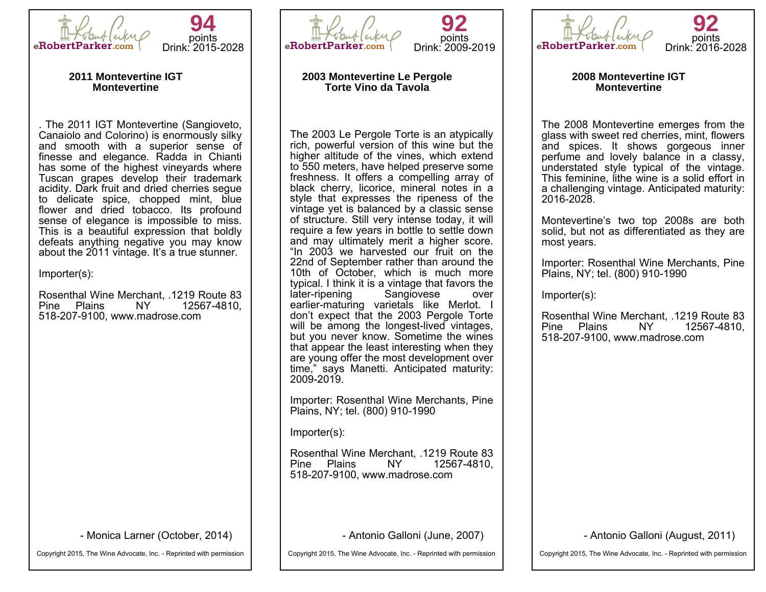



#### **2011 Montevertine IGT Montevertine**

. The 2011 IGT Montevertine (Sangioveto, Canaiolo and Colorino) is enormously silky and smooth with a superior sense of finesse and elegance. Radda in Chianti has some of the highest vineyards where Tuscan grapes develop their trademark acidity. Dark fruit and dried cherries segue to delicate spice, chopped mint, blue flower and dried tobacco. Its profound sense of elegance is impossible to miss. This is a beautiful expression that boldly defeats anything negative you may know about the 2011 vintage. It's a true stunner.

Importer(s):

Rosenthal Wine Merchant, .1219 Route 83 Pine Plains 518-207-9100, www.madrose.com

- Monica Larner (October, 2014)

Copyright 2015, The Wine Advocate, Inc. - Reprinted with permission



# **2003 Montevertine Le Pergole Torte Vino da Tavola**

The 2003 Le Pergole Torte is an atypically rich, powerful version of this wine but the higher altitude of the vines, which extend to 550 meters, have helped preserve some freshness. It offers a compelling array of black cherry, licorice, mineral notes in a style that expresses the ripeness of the vintage yet is balanced by a classic sense of structure. Still very intense today, it will require a few years in bottle to settle down and may ultimately merit a higher score. "In 2003 we harvested our fruit on the 22nd of September rather than around the 10th of October, which is much more typical. I think it is a vintage that favors the later-ripening Sangiovese over earlier-maturing varietals like Merlot. I don't expect that the 2003 Pergole Torte will be among the longest-lived vintages, but you never know. Sometime the wines that appear the least interesting when they are young offer the most development over time," says Manetti. Anticipated maturity: 2009-2019.

Importer: Rosenthal Wine Merchants, Pine Plains, NY; tel. (800) 910-1990

Importer(s):

Rosenthal Wine Merchant, .1219 Route 83 Pine Plains NY 12567-4810, 518-207-9100, www.madrose.com

- Antonio Galloni (June, 2007)

Copyright 2015, The Wine Advocate, Inc. - Reprinted with permission



**2008 Montevertine IGT Montevertine**

The 2008 Montevertine emerges from the glass with sweet red cherries, mint, flowers and spices. It shows gorgeous inner perfume and lovely balance in a classy, understated style typical of the vintage. This feminine, lithe wine is a solid effort in a challenging vintage. Anticipated maturity: 2016-2028.

Montevertine's two top 2008s are both solid, but not as differentiated as they are most years.

Importer: Rosenthal Wine Merchants, Pine Plains, NY; tel. (800) 910-1990

Importer(s):

Rosenthal Wine Merchant, .1219 Route 83 Pine Plains 518-207-9100, www.madrose.com

- Antonio Galloni (August, 2011)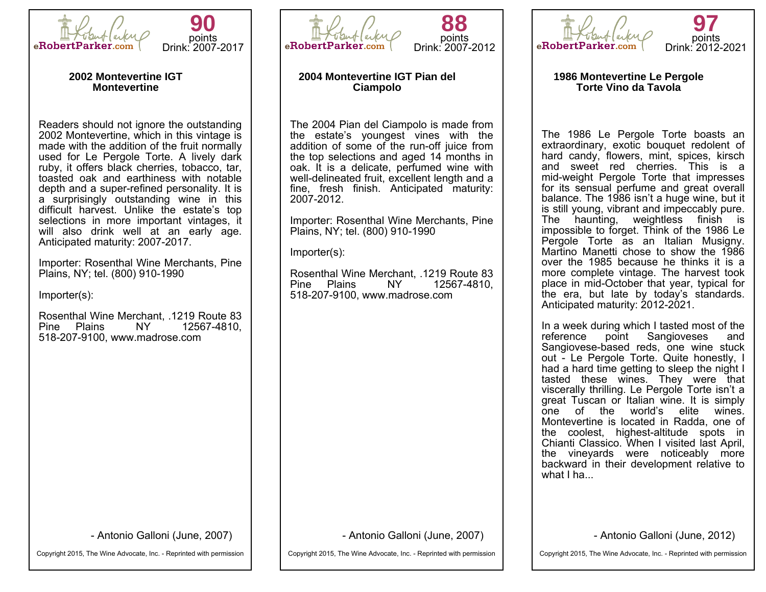



#### **2002 Montevertine IGT Montevertine**

Readers should not ignore the outstanding 2002 Montevertine, which in this vintage is made with the addition of the fruit normally used for Le Pergole Torte. A lively dark ruby, it offers black cherries, tobacco, tar, toasted oak and earthiness with notable depth and a super-refined personality. It is a surprisingly outstanding wine in this difficult harvest. Unlike the estate's top selections in more important vintages, it will also drink well at an early age. Anticipated maturity: 2007-2017.

Importer: Rosenthal Wine Merchants, Pine Plains, NY; tel. (800) 910-1990

Importer(s):

Rosenthal Wine Merchant, .1219 Route 83 Pine Plains 518-207-9100, www.madrose.com

- Antonio Galloni (June, 2007)

Copyright 2015, The Wine Advocate, Inc. - Reprinted with permission



**88** points Drink: 2007-2012

# **2004 Montevertine IGT Pian del Ciampolo**

The 2004 Pian del Ciampolo is made from the estate's youngest vines with the addition of some of the run-off juice from the top selections and aged 14 months in oak. It is a delicate, perfumed wine with well-delineated fruit, excellent length and a fine, fresh finish. Anticipated maturity: 2007-2012.

Importer: Rosenthal Wine Merchants, Pine Plains, NY; tel. (800) 910-1990

Importer(s):

Rosenthal Wine Merchant, .1219 Route 83 Pine Plains 518-207-9100, www.madrose.com

- Antonio Galloni (June, 2007)

Copyright 2015, The Wine Advocate, Inc. - Reprinted with permission



#### **1986 Montevertine Le Pergole Torte Vino da Tavola**

The 1986 Le Pergole Torte boasts an extraordinary, exotic bouquet redolent of hard candy, flowers, mint, spices, kirsch and sweet red cherries. This is a mid-weight Pergole Torte that impresses for its sensual perfume and great overall balance. The 1986 isn't a huge wine, but it is still young, vibrant and impeccably pure. The haunting, weightless finish is impossible to forget. Think of the 1986 Le Pergole Torte as an Italian Musianv. Martino Manetti chose to show the 1986 over the 1985 because he thinks it is a more complete vintage. The harvest took place in mid-October that year, typical for the era, but late by today's standards. Anticipated maturity: 2012-2021.

In a week during which I tasted most of the reference point Sangioveses and Sangiovese-based reds, one wine stuck out - Le Pergole Torte. Quite honestly, I had a hard time getting to sleep the night I tasted these wines. They were that viscerally thrilling. Le Pergole Torte isn't a great Tuscan or Italian wine. It is simply one of the world's elite wines. Montevertine is located in Radda, one of the coolest, highest-altitude spots in Chianti Classico. When I visited last April, the vineyards were noticeably more backward in their development relative to what I ha...

- Antonio Galloni (June, 2012)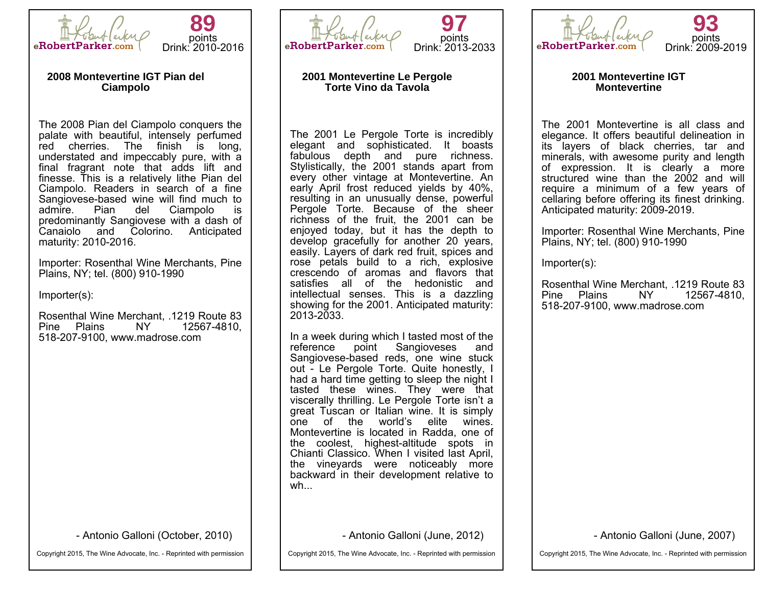

**89** points Drink: 2010-2016

#### **2008 Montevertine IGT Pian del Ciampolo**

The 2008 Pian del Ciampolo conquers the palate with beautiful, intensely perfumed red cherries. The finish is long, understated and impeccably pure, with a final fragrant note that adds lift and finesse. This is a relatively lithe Pian del Ciampolo. Readers in search of a fine Sangiovese-based wine will find much to<br>admire. Pian del Ciampolo is Ciampolo predominantly Sangiovese with a dash of Canaiolo and Colorino. Anticipated maturity: 2010-2016.

Importer: Rosenthal Wine Merchants, Pine Plains, NY; tel. (800) 910-1990

Importer(s):

Rosenthal Wine Merchant, .1219 Route 83 Pine Plains 518-207-9100, www.madrose.com

- Antonio Galloni (October, 2010)

Copyright 2015, The Wine Advocate, Inc. - Reprinted with permission



**97** points Drink: 2013-2033

# **2001 Montevertine Le Pergole Torte Vino da Tavola**

The 2001 Le Pergole Torte is incredibly elegant and sophisticated. It boasts fabulous depth and pure richness. Stylistically, the 2001 stands apart from every other vintage at Montevertine. An early April frost reduced yields by 40%, resulting in an unusually dense, powerful Pergole Torte. Because of the sheer richness of the fruit, the 2001 can be enjoyed today, but it has the depth to develop gracefully for another 20 years, easily. Layers of dark red fruit, spices and rose petals build to a rich, explosive crescendo of aromas and flavors that satisfies all of the hedonistic and intellectual senses. This is a dazzling showing for the 2001. Anticipated maturity: 2013-2033.

In a week during which I tasted most of the reference point Sangloveses and Sangioveses Sangiovese-based reds, one wine stuck out - Le Pergole Torte. Quite honestly, I had a hard time getting to sleep the night I tasted these wines. They were that viscerally thrilling. Le Pergole Torte isn't a great Tuscan or Italian wine. It is simply one of the world's elite wines. Montevertine is located in Radda, one of the coolest, highest-altitude spots in Chianti Classico. When I visited last April, the vineyards were noticeably more backward in their development relative to wh...

- Antonio Galloni (June, 2012)

Copyright 2015, The Wine Advocate, Inc. - Reprinted with permission



**2001 Montevertine IGT Montevertine**

The 2001 Montevertine is all class and elegance. It offers beautiful delineation in its layers of black cherries, tar and minerals, with awesome purity and length of expression. It is clearly a more structured wine than the 2002 and will require a minimum of a few years of cellaring before offering its finest drinking. Anticipated maturity: 2009-2019.

Importer: Rosenthal Wine Merchants, Pine Plains, NY; tel. (800) 910-1990

Importer(s):

Rosenthal Wine Merchant, .1219 Route 83 Pine Plains 518-207-9100, www.madrose.com

- Antonio Galloni (June, 2007)